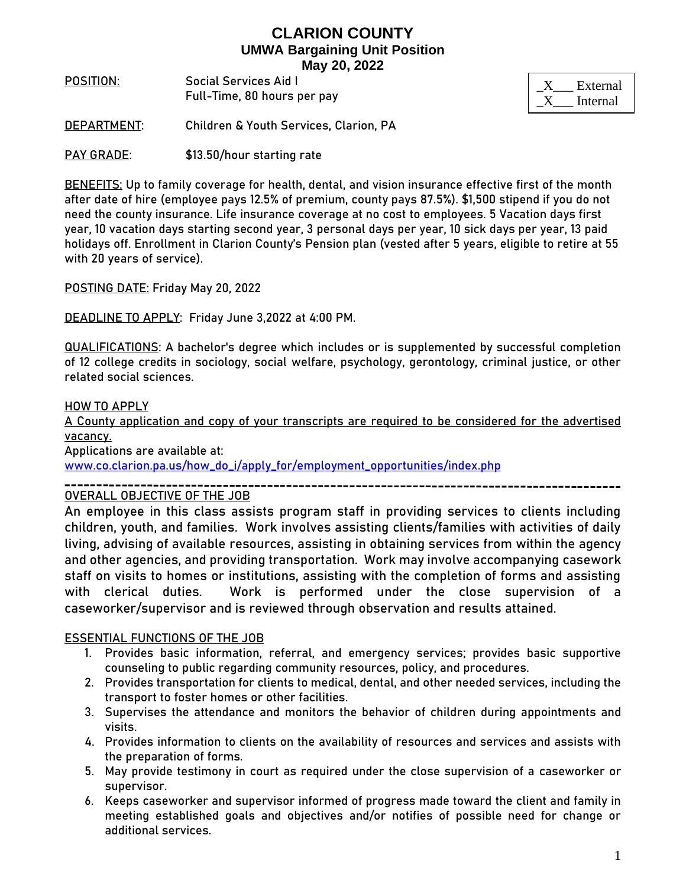# **CLARION COUNTY UMWA Bargaining Unit Position May 20, 2022**

**POSITION**: **Social Services Aid I** Full-Time, 80 hours per pay

| External |
|----------|
| Internal |

**DEPARTMENT**: Children & Youth Services, Clarion, PA

**PAY GRADE:** \$13.50/hour starting rate

**BENEFITS:** Up to family coverage for health, dental, and vision insurance effective first of the month after date of hire (employee pays 12.5% of premium, county pays 87.5%). \$1,500 stipend if you do not need the county insurance. Life insurance coverage at no cost to employees. 5 Vacation days first year, 10 vacation days starting second year, 3 personal days per year, 10 sick days per year, 13 paid holidays off. Enrollment in Clarion County's Pension plan (vested after 5 years, eligible to retire at 55 with 20 years of service).

**POSTING DATE:** Friday May 20, 2022

**DEADLINE TO APPLY:** Friday June 3,2022 at 4:00 PM.

**QUALIFICATIONS:** A bachelor's degree which includes or is supplemented by successful completion of 12 college credits in sociology, social welfare, psychology, gerontology, criminal justice, or other related social sciences.

#### **HOW TO APPLY**

A County application and copy of your transcripts are required to be considered for the advertised vacancy.

Applications are available at:

[www.co.clarion.pa.us/how\\_do\\_i/apply\\_for/employment\\_opportunities/index.php](http://www.co.clarion.pa.us/how_do_i/apply_for/employment_opportunities/index.php)

OVERALL OBJECTIVE OF THE JOB

An employee in this class assists program staff in providing services to clients including children, youth, and families. Work involves assisting clients/families with activities of daily living, advising of available resources, assisting in obtaining services from within the agency and other agencies, and providing transportation. Work may involve accompanying casework staff on visits to homes or institutions, assisting with the completion of forms and assisting with clerical duties. Work is performed under the close supervision of a caseworker/supervisor and is reviewed through observation and results attained.

#### ESSENTIAL FUNCTIONS OF THE JOB

- 1. Provides basic information, referral, and emergency services; provides basic supportive counseling to public regarding community resources, policy, and procedures.
- 2. Provides transportation for clients to medical, dental, and other needed services, including the transport to foster homes or other facilities.
- 3. Supervises the attendance and monitors the behavior of children during appointments and visits.
- 4. Provides information to clients on the availability of resources and services and assists with the preparation of forms.
- 5. May provide testimony in court as required under the close supervision of a caseworker or supervisor.
- 6. Keeps caseworker and supervisor informed of progress made toward the client and family in meeting established goals and objectives and/or notifies of possible need for change or additional services.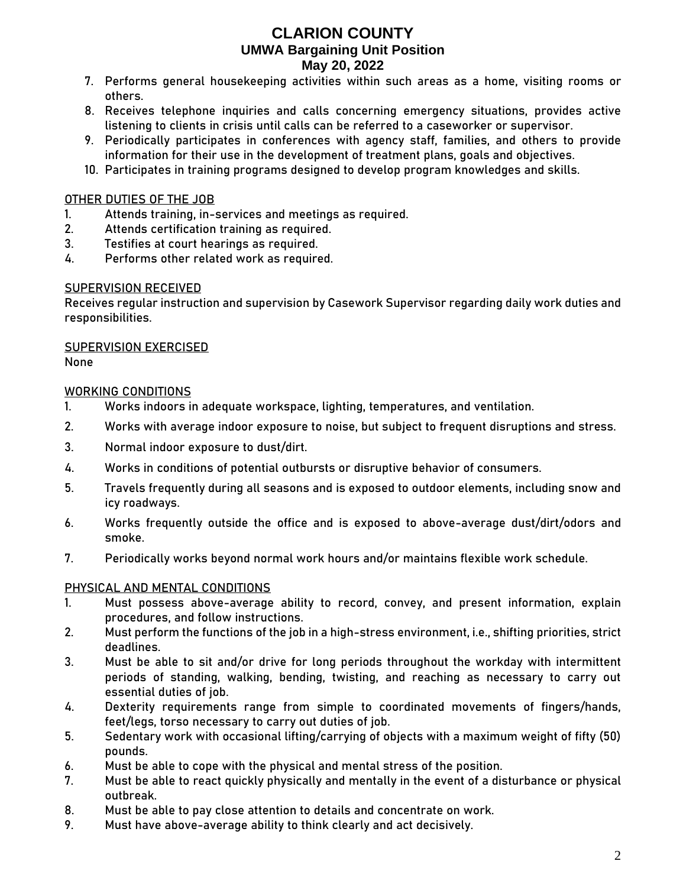# **CLARION COUNTY UMWA Bargaining Unit Position May 20, 2022**

- 7. Performs general housekeeping activities within such areas as a home, visiting rooms or others.
- 8. Receives telephone inquiries and calls concerning emergency situations, provides active listening to clients in crisis until calls can be referred to a caseworker or supervisor.
- 9. Periodically participates in conferences with agency staff, families, and others to provide information for their use in the development of treatment plans, goals and objectives.
- 10. Participates in training programs designed to develop program knowledges and skills.

### OTHER DUTIES OF THE JOB

- 1. Attends training, in-services and meetings as required.
- 2. Attends certification training as required.
- 3. Testifies at court hearings as required.
- 4. Performs other related work as required.

## SUPERVISION RECEIVED

Receives regular instruction and supervision by Casework Supervisor regarding daily work duties and responsibilities.

## SUPERVISION EXERCISED

None

## WORKING CONDITIONS

- 1. Works indoors in adequate workspace, lighting, temperatures, and ventilation.
- 2. Works with average indoor exposure to noise, but subject to frequent disruptions and stress.
- 3. Normal indoor exposure to dust/dirt.
- 4. Works in conditions of potential outbursts or disruptive behavior of consumers.
- 5. Travels frequently during all seasons and is exposed to outdoor elements, including snow and icy roadways.
- 6. Works frequently outside the office and is exposed to above-average dust/dirt/odors and smoke.
- 7. Periodically works beyond normal work hours and/or maintains flexible work schedule.

## PHYSICAL AND MENTAL CONDITIONS

- **1.** Must possess above-average ability to record, convey, and present information, explain procedures, and follow instructions.
- 2. Must perform the functions of the job in a high-stress environment, i.e., shifting priorities, strict deadlines.
- 3. Must be able to sit and/or drive for long periods throughout the workday with intermittent periods of standing, walking, bending, twisting, and reaching as necessary to carry out essential duties of job.
- 4. Dexterity requirements range from simple to coordinated movements of fingers/hands, feet/legs, torso necessary to carry out duties of job.
- 5. Sedentary work with occasional lifting/carrying of objects with a maximum weight of fifty (50) pounds.
- 6. Must be able to cope with the physical and mental stress of the position.
- 7. Must be able to react quickly physically and mentally in the event of a disturbance or physical outbreak.
- 8. Must be able to pay close attention to details and concentrate on work.
- 9. Must have above-average ability to think clearly and act decisively.